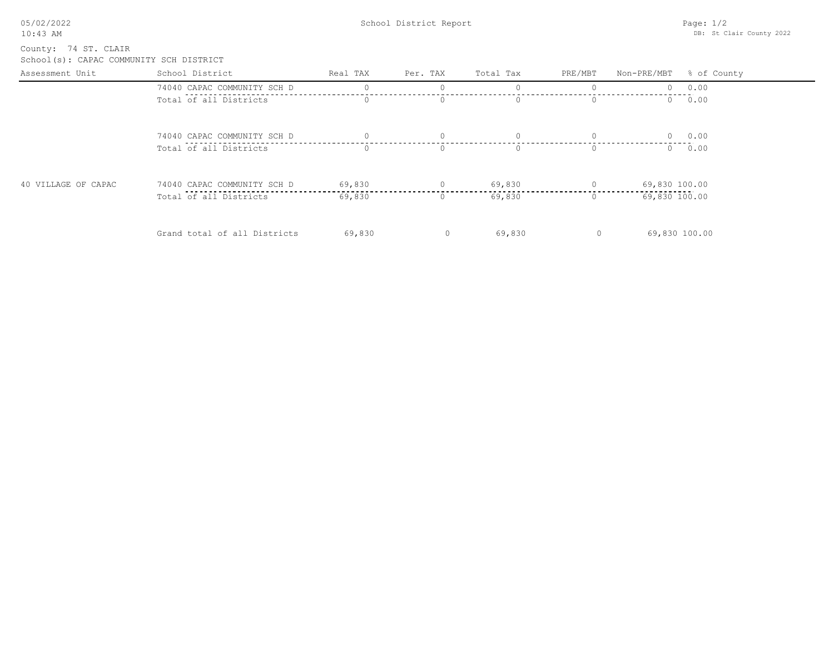| 05/02/2022 |  |
|------------|--|
| $10:43$ AM |  |

School(s): CAPAC COMMUNITY SCH DISTRICT County: 74 ST. CLAIR

| Assessment Unit     | School District              | Real TAX | Per. TAX | Total Tax | PRE/MBT  | Non-PRE/MBT % of County |             |
|---------------------|------------------------------|----------|----------|-----------|----------|-------------------------|-------------|
|                     | 74040 CAPAC COMMUNITY SCH D  |          |          |           |          | $\cap$                  | 0.00        |
|                     | Total of all Districts       |          | $\Omega$ | O.        | $\Omega$ | $\Omega$                | 0.00        |
|                     | 74040 CAPAC COMMUNITY SCH D  |          | $\Omega$ | $\Omega$  | $\Omega$ | $\Omega$                | 0.00        |
|                     | Total of all Districts       | $\circ$  | $\Omega$ | $\Omega$  | $\Omega$ |                         | $0 \t 0.00$ |
| 40 VILLAGE OF CAPAC | 74040 CAPAC COMMUNITY SCH D  | 69,830   |          | 69,830    |          | 69,830 100.00           |             |
|                     | Total of all Districts       | 69,830   | U.       | 69,830    | $\Omega$ | 69,830 100.00           |             |
|                     | Grand total of all Districts | 69,830   | $\circ$  | 69,830    | $\circ$  | 69,830 100.00           |             |